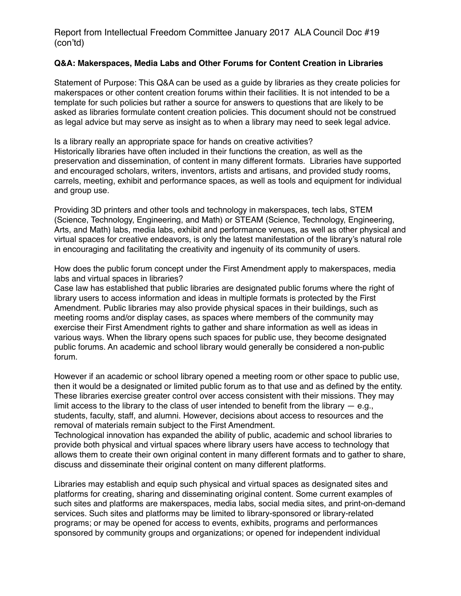## **Q&A: Makerspaces, Media Labs and Other Forums for Content Creation in Libraries**

Statement of Purpose: This Q&A can be used as a guide by libraries as they create policies for makerspaces or other content creation forums within their facilities. It is not intended to be a template for such policies but rather a source for answers to questions that are likely to be asked as libraries formulate content creation policies. This document should not be construed as legal advice but may serve as insight as to when a library may need to seek legal advice.

Is a library really an appropriate space for hands on creative activities? Historically libraries have often included in their functions the creation, as well as the preservation and dissemination, of content in many different formats. Libraries have supported and encouraged scholars, writers, inventors, artists and artisans, and provided study rooms, carrels, meeting, exhibit and performance spaces, as well as tools and equipment for individual and group use.

Providing 3D printers and other tools and technology in makerspaces, tech labs, STEM (Science, Technology, Engineering, and Math) or STEAM (Science, Technology, Engineering, Arts, and Math) labs, media labs, exhibit and performance venues, as well as other physical and virtual spaces for creative endeavors, is only the latest manifestation of the library's natural role in encouraging and facilitating the creativity and ingenuity of its community of users.

How does the public forum concept under the First Amendment apply to makerspaces, media labs and virtual spaces in libraries?

Case law has established that public libraries are designated public forums where the right of library users to access information and ideas in multiple formats is protected by the First Amendment. Public libraries may also provide physical spaces in their buildings, such as meeting rooms and/or display cases, as spaces where members of the community may exercise their First Amendment rights to gather and share information as well as ideas in various ways. When the library opens such spaces for public use, they become designated public forums. An academic and school library would generally be considered a non-public forum.

However if an academic or school library opened a meeting room or other space to public use, then it would be a designated or limited public forum as to that use and as defined by the entity. These libraries exercise greater control over access consistent with their missions. They may limit access to the library to the class of user intended to benefit from the library  $-$  e.g., students, faculty, staff, and alumni. However, decisions about access to resources and the removal of materials remain subject to the First Amendment.

Technological innovation has expanded the ability of public, academic and school libraries to provide both physical and virtual spaces where library users have access to technology that allows them to create their own original content in many different formats and to gather to share, discuss and disseminate their original content on many different platforms.

Libraries may establish and equip such physical and virtual spaces as designated sites and platforms for creating, sharing and disseminating original content. Some current examples of such sites and platforms are makerspaces, media labs, social media sites, and print-on-demand services. Such sites and platforms may be limited to library-sponsored or library-related programs; or may be opened for access to events, exhibits, programs and performances sponsored by community groups and organizations; or opened for independent individual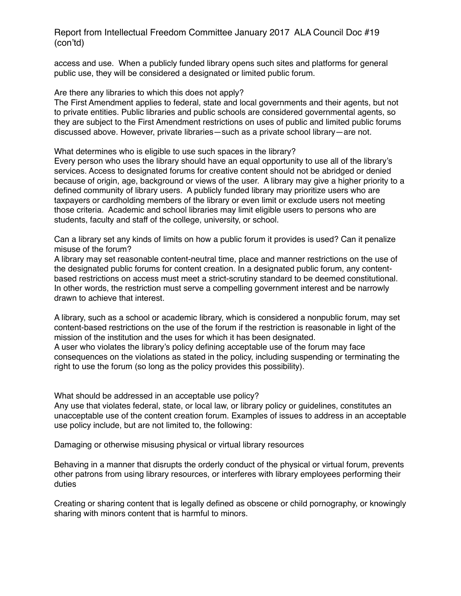access and use. When a publicly funded library opens such sites and platforms for general public use, they will be considered a designated or limited public forum.

Are there any libraries to which this does not apply?

The First Amendment applies to federal, state and local governments and their agents, but not to private entities. Public libraries and public schools are considered governmental agents, so they are subject to the First Amendment restrictions on uses of public and limited public forums discussed above. However, private libraries—such as a private school library—are not.

What determines who is eligible to use such spaces in the library?

Every person who uses the library should have an equal opportunity to use all of the library's services. Access to designated forums for creative content should not be abridged or denied because of origin, age, background or views of the user. A library may give a higher priority to a defined community of library users. A publicly funded library may prioritize users who are taxpayers or cardholding members of the library or even limit or exclude users not meeting those criteria. Academic and school libraries may limit eligible users to persons who are students, faculty and staff of the college, university, or school.

Can a library set any kinds of limits on how a public forum it provides is used? Can it penalize misuse of the forum?

A library may set reasonable content-neutral time, place and manner restrictions on the use of the designated public forums for content creation. In a designated public forum, any contentbased restrictions on access must meet a strict-scrutiny standard to be deemed constitutional. In other words, the restriction must serve a compelling government interest and be narrowly drawn to achieve that interest.

A library, such as a school or academic library, which is considered a nonpublic forum, may set content-based restrictions on the use of the forum if the restriction is reasonable in light of the mission of the institution and the uses for which it has been designated. A user who violates the library's policy defining acceptable use of the forum may face consequences on the violations as stated in the policy, including suspending or terminating the right to use the forum (so long as the policy provides this possibility).

What should be addressed in an acceptable use policy?

Any use that violates federal, state, or local law, or library policy or guidelines, constitutes an unacceptable use of the content creation forum. Examples of issues to address in an acceptable use policy include, but are not limited to, the following:

Damaging or otherwise misusing physical or virtual library resources

Behaving in a manner that disrupts the orderly conduct of the physical or virtual forum, prevents other patrons from using library resources, or interferes with library employees performing their duties

Creating or sharing content that is legally defined as obscene or child pornography, or knowingly sharing with minors content that is harmful to minors.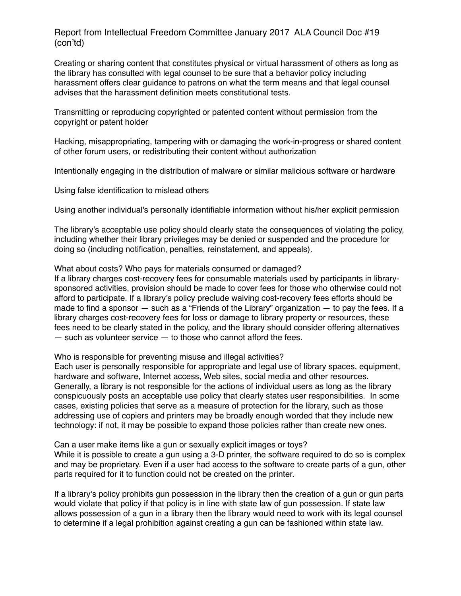Creating or sharing content that constitutes physical or virtual harassment of others as long as the library has consulted with legal counsel to be sure that a behavior policy including harassment offers clear guidance to patrons on what the term means and that legal counsel advises that the harassment definition meets constitutional tests.

Transmitting or reproducing copyrighted or patented content without permission from the copyright or patent holder

Hacking, misappropriating, tampering with or damaging the work-in-progress or shared content of other forum users, or redistributing their content without authorization

Intentionally engaging in the distribution of malware or similar malicious software or hardware

Using false identification to mislead others

Using another individual's personally identifiable information without his/her explicit permission

The library's acceptable use policy should clearly state the consequences of violating the policy, including whether their library privileges may be denied or suspended and the procedure for doing so (including notification, penalties, reinstatement, and appeals).

What about costs? Who pays for materials consumed or damaged?

If a library charges cost-recovery fees for consumable materials used by participants in librarysponsored activities, provision should be made to cover fees for those who otherwise could not afford to participate. If a library's policy preclude waiving cost-recovery fees efforts should be made to find a sponsor — such as a "Friends of the Library" organization — to pay the fees. If a library charges cost-recovery fees for loss or damage to library property or resources, these fees need to be clearly stated in the policy, and the library should consider offering alternatives — such as volunteer service — to those who cannot afford the fees.

Who is responsible for preventing misuse and illegal activities?

Each user is personally responsible for appropriate and legal use of library spaces, equipment, hardware and software, Internet access, Web sites, social media and other resources. Generally, a library is not responsible for the actions of individual users as long as the library conspicuously posts an acceptable use policy that clearly states user responsibilities. In some cases, existing policies that serve as a measure of protection for the library, such as those addressing use of copiers and printers may be broadly enough worded that they include new technology: if not, it may be possible to expand those policies rather than create new ones.

Can a user make items like a gun or sexually explicit images or toys?

While it is possible to create a gun using a 3-D printer, the software required to do so is complex and may be proprietary. Even if a user had access to the software to create parts of a gun, other parts required for it to function could not be created on the printer.

If a library's policy prohibits gun possession in the library then the creation of a gun or gun parts would violate that policy if that policy is in line with state law of gun possession. If state law allows possession of a gun in a library then the library would need to work with its legal counsel to determine if a legal prohibition against creating a gun can be fashioned within state law.